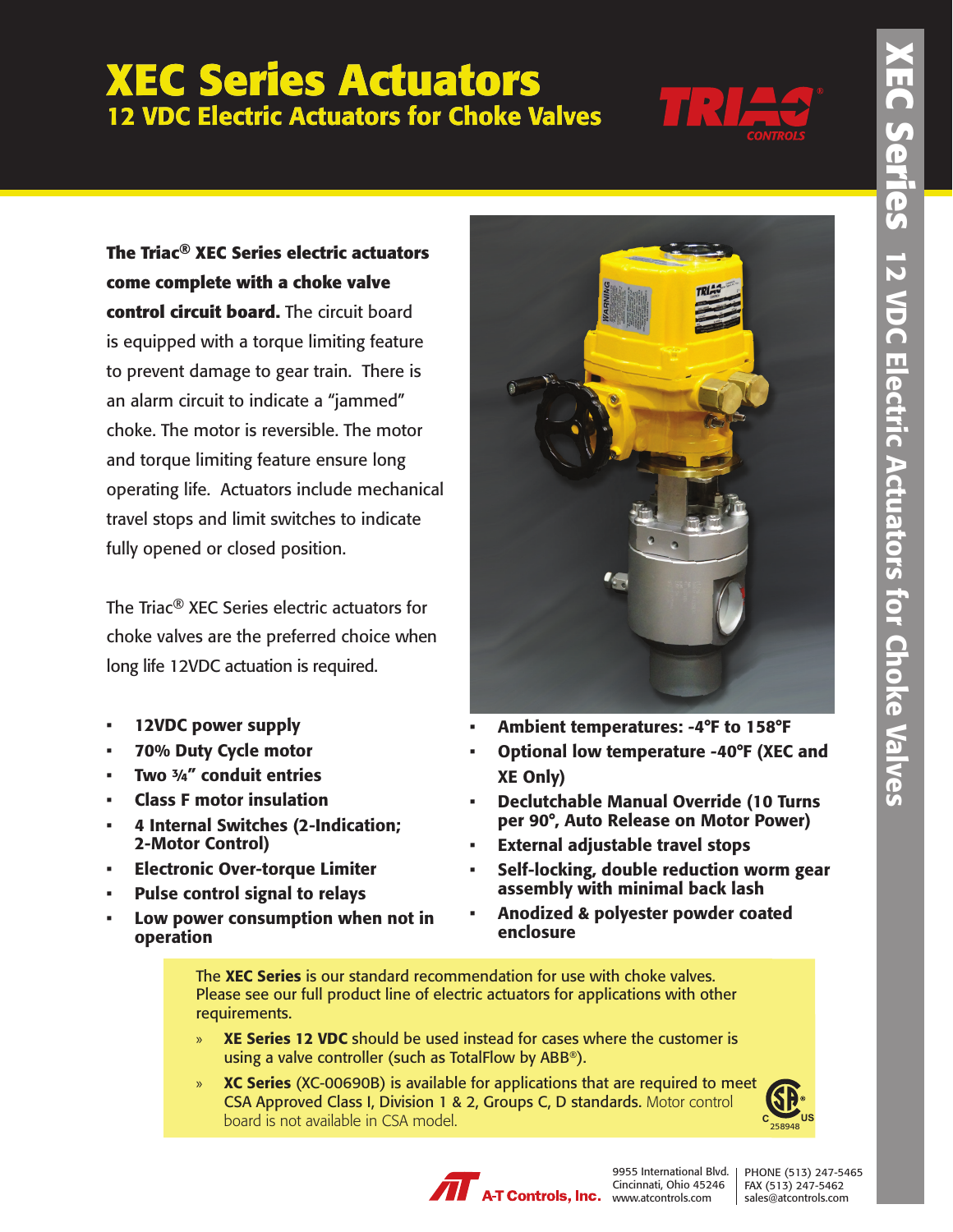## **XEC Series Actuators** 12 VDC Electric Actuators for Choke Valves



**The Triac® XEC Series electric actuators come complete with a choke valve control circuit board.** The circuit board is equipped with a torque limiting feature to prevent damage to gear train. There is an alarm circuit to indicate a "jammed" choke. The motor is reversible. The motor and torque limiting feature ensure long operating life. Actuators include mechanical travel stops and limit switches to indicate fully opened or closed position.

The Triac® XEC Series electric actuators for choke valves are the preferred choice when long life 12VDC actuation is required.

- 12VDC power supply
- 70% Duty Cycle motor
- Two  $\frac{3}{4}$ " conduit entries
- Class F motor insulation
- 4 Internal Switches (2-Indication; 2-Motor Control)
- Electronic Over-torque Limiter
- Pulse control signal to relays
- Low power consumption when not in operation



- Ambient temperatures: -4°F to 158°F
- Optional low temperature -40°F (XEC and XE Only)
- Declutchable Manual Override (10 Turns per 90°, Auto Release on Motor Power)
- **External adjustable travel stops**
- Self-locking, double reduction worm gear assembly with minimal back lash
- Anodized & polyester powder coated enclosure

The XEC Series is our standard recommendation for use with choke valves. Please see our full product line of electric actuators for applications with other requirements.

- » XE Series 12 VDC should be used instead for cases where the customer is using a valve controller (such as TotalFlow by ABB®).
- » XC Series (XC-00690B) is available for applications that are required to meet CSA Approved Class I, Division 1 & 2, Groups C, D standards. Motor control board is not available in CSA model.





9955 International Blvd. | Cincinnati, Ohio 45246 www.atcontrols.com